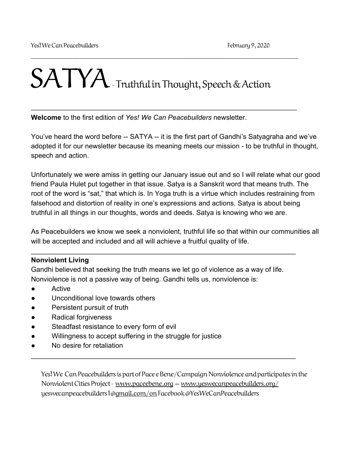# SATYA-Truthful in Thought, Speech & Action

\_\_\_\_\_\_\_\_\_\_\_\_\_\_\_\_\_\_\_\_\_\_\_\_\_\_\_\_\_\_\_\_\_\_\_\_\_\_\_\_\_\_\_\_

 $\overline{\phantom{a}}$  , and the contract of the contract of the contract of the contract of the contract of the contract of the contract of the contract of the contract of the contract of the contract of the contract of the contrac

**Welcome** to the first edition of *Yes! We Can Peacebuilders* newsletter.

You've heard the word before -- SATYA -- it is the first part of Gandhi's Satyagraha and we've adopted it for our newsletter because its meaning meets our mission - to be truthful in thought, speech and action.

Unfortunately we were amiss in getting our January issue out and so I will relate what our good friend Paula Hulet put together in that issue. Satya is a Sanskrit word that means truth. The root of the word is "sat," that which is. In Yoga truth is a virtue which includes restraining from falsehood and distortion of reality in one's expressions and actions. Satya is about being truthful in all things in our thoughts, words and deeds. Satya is knowing who we are.

As Peacebuilders we know we seek a nonviolent, truthful life so that within our communities all will be accepted and included and all will achieve a fruitful quality of life.

#### **Nonviolent Living**

Gandhi believed that seeking the truth means we let go of violence as a way of life. Nonviolence is not a passive way of being. Gandhi tells us, nonviolence is:

\_\_\_\_\_\_\_\_\_\_\_\_\_\_\_\_\_\_\_\_\_\_\_\_\_\_\_\_\_\_\_\_\_\_\_\_\_\_\_\_\_\_\_\_\_\_\_\_\_\_\_\_\_\_\_\_\_\_\_\_\_\_\_\_\_\_\_\_\_

- **Active**
- Unconditional love towards others
- Persistent pursuit of truth
- Radical forgiveness
- Steadfast resistance to every form of evil
- Willingness to accept suffering in the struggle for justice
- No desire for retaliation

Yes! We Can Peacebuilders is part of Pace e Bene/Campaign Nonviolence and participates in the Nonviolent Cities Project - [www.paceebene.org](http://www.paceebene.org/) -- [www.yeswecanpeacebuilders.org/](http://www.yeswecanpeacebuilders.org/) yeswecanpeacebuilders1@[gmail.com/on](http://gmail.com/on) Facebook @YesWeCanPeacebuilders

\_\_\_\_\_\_\_\_\_\_\_\_\_\_\_\_\_\_\_\_\_\_\_\_\_\_\_\_\_\_\_\_\_\_\_\_\_\_\_\_\_\_\_\_\_\_\_\_\_\_\_\_\_\_\_\_\_\_\_\_\_\_\_\_\_\_\_\_\_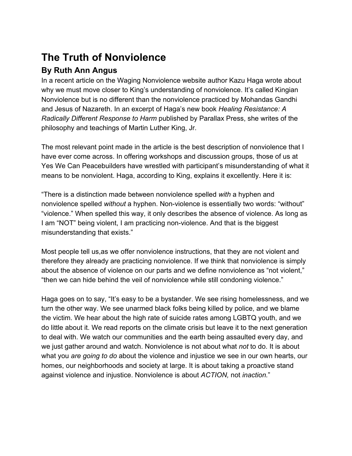# **The Truth of Nonviolence**

# **By Ruth Ann Angus**

In a recent article on the Waging Nonviolence website author Kazu Haga wrote about why we must move closer to King's understanding of nonviolence. It's called Kingian Nonviolence but is no different than the nonviolence practiced by Mohandas Gandhi and Jesus of Nazareth. In an excerpt of Haga's new book *Healing Resistance: A Radically Different Response to Harm* published by Parallax Press, she writes of the philosophy and teachings of Martin Luther King, Jr.

The most relevant point made in the article is the best description of nonviolence that I have ever come across. In offering workshops and discussion groups, those of us at Yes We Can Peacebuilders have wrestled with participant's misunderstanding of what it means to be nonviolent. Haga, according to King, explains it excellently. Here it is:

"There is a distinction made between nonviolence spelled *with* a hyphen and nonviolence spelled *without* a hyphen. Non-violence is essentially two words: "without" "violence." When spelled this way, it only describes the absence of violence. As long as I am "NOT" being violent, I am practicing non-violence. And that is the biggest misunderstanding that exists."

Most people tell us,as we offer nonviolence instructions, that they are not violent and therefore they already are practicing nonviolence. If we think that nonviolence is simply about the absence of violence on our parts and we define nonviolence as "not violent," "then we can hide behind the veil of nonviolence while still condoning violence."

Haga goes on to say, "It's easy to be a bystander. We see rising homelessness, and we turn the other way. We see unarmed black folks being killed by police, and we blame the victim. We hear about the high rate of suicide rates among LGBTQ youth, and we do little about it. We read reports on the climate crisis but leave it to the next generation to deal with. We watch our communities and the earth being assaulted every day, and we just gather around and watch. Nonviolence is not about what *not* to do. It is about what you *are going to do* about the violence and injustice we see in our own hearts, our homes, our neighborhoods and society at large. It is about taking a proactive stand against violence and injustice. Nonviolence is about *ACTION,* not *inaction.*"